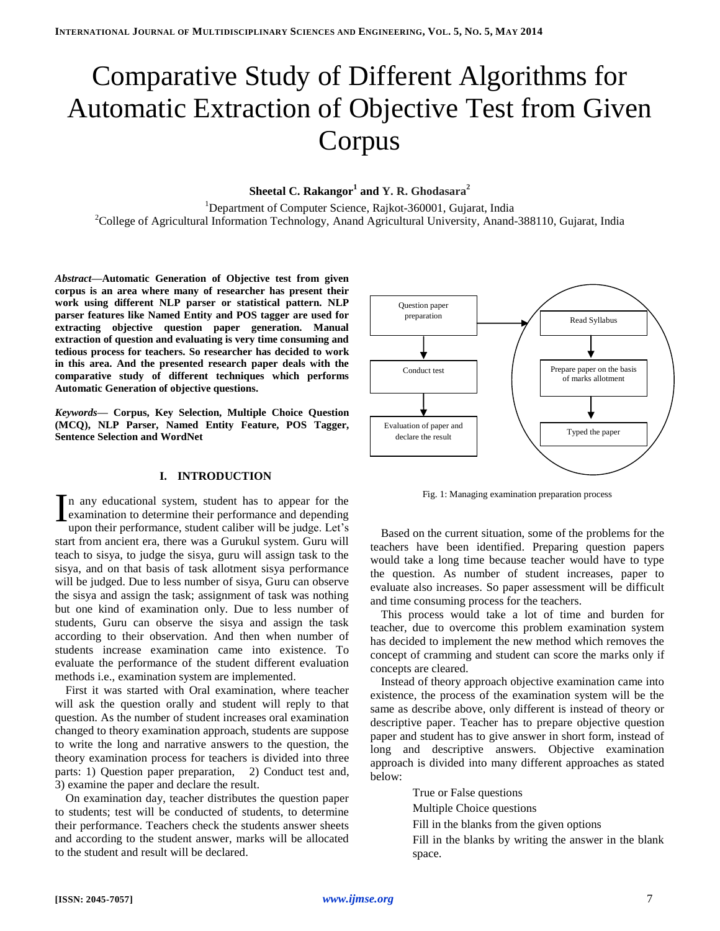# Comparative Study of Different Algorithms for Automatic Extraction of Objective Test from Given Corpus

# **Sheetal C. Rakangor<sup>1</sup> and Y. R. Ghodasara<sup>2</sup>**

<sup>1</sup>Department of Computer Science, Rajkot-360001, Gujarat, India <sup>2</sup>College of Agricultural Information Technology, Anand Agricultural University, Anand-388110, Gujarat, India

*Abstract***—Automatic Generation of Objective test from given corpus is an area where many of researcher has present their work using different NLP parser or statistical pattern. NLP parser features like Named Entity and POS tagger are used for extracting objective question paper generation. Manual extraction of question and evaluating is very time consuming and tedious process for teachers. So researcher has decided to work in this area. And the presented research paper deals with the comparative study of different techniques which performs Automatic Generation of objective questions.**

*Keywords***— Corpus, Key Selection, Multiple Choice Question (MCQ), NLP Parser, Named Entity Feature, POS Tagger, Sentence Selection and WordNet**

## **I. INTRODUCTION**

n any educational system, student has to appear for the  $\sum$  n any educational system, student has to appear for the examination to determine their performance and depending upon their performance student caliber will be judge  $I$  et's upon their performance, student caliber will be judge. Let's start from ancient era, there was a Gurukul system. Guru will teach to sisya, to judge the sisya, guru will assign task to the sisya, and on that basis of task allotment sisya performance will be judged. Due to less number of sisya, Guru can observe the sisya and assign the task; assignment of task was nothing but one kind of examination only. Due to less number of students, Guru can observe the sisya and assign the task according to their observation. And then when number of students increase examination came into existence. To evaluate the performance of the student different evaluation methods i.e., examination system are implemented.

First it was started with Oral examination, where teacher will ask the question orally and student will reply to that question. As the number of student increases oral examination changed to theory examination approach, students are suppose to write the long and narrative answers to the question, the theory examination process for teachers is divided into three parts: 1) Question paper preparation, 2) Conduct test and, 3) examine the paper and declare the result.

On examination day, teacher distributes the question paper to students; test will be conducted of students, to determine their performance. Teachers check the students answer sheets and according to the student answer, marks will be allocated to the student and result will be declared.



Fig. 1: Managing examination preparation process

Based on the current situation, some of the problems for the teachers have been identified. Preparing question papers would take a long time because teacher would have to type the question. As number of student increases, paper to evaluate also increases. So paper assessment will be difficult and time consuming process for the teachers.

This process would take a lot of time and burden for teacher, due to overcome this problem examination system has decided to implement the new method which removes the concept of cramming and student can score the marks only if concepts are cleared.

Instead of theory approach objective examination came into existence, the process of the examination system will be the same as describe above, only different is instead of theory or descriptive paper. Teacher has to prepare objective question paper and student has to give answer in short form, instead of long and descriptive answers. Objective examination approach is divided into many different approaches as stated below:

> True or False questions Multiple Choice questions

Fill in the blanks from the given options

Fill in the blanks by writing the answer in the blank space.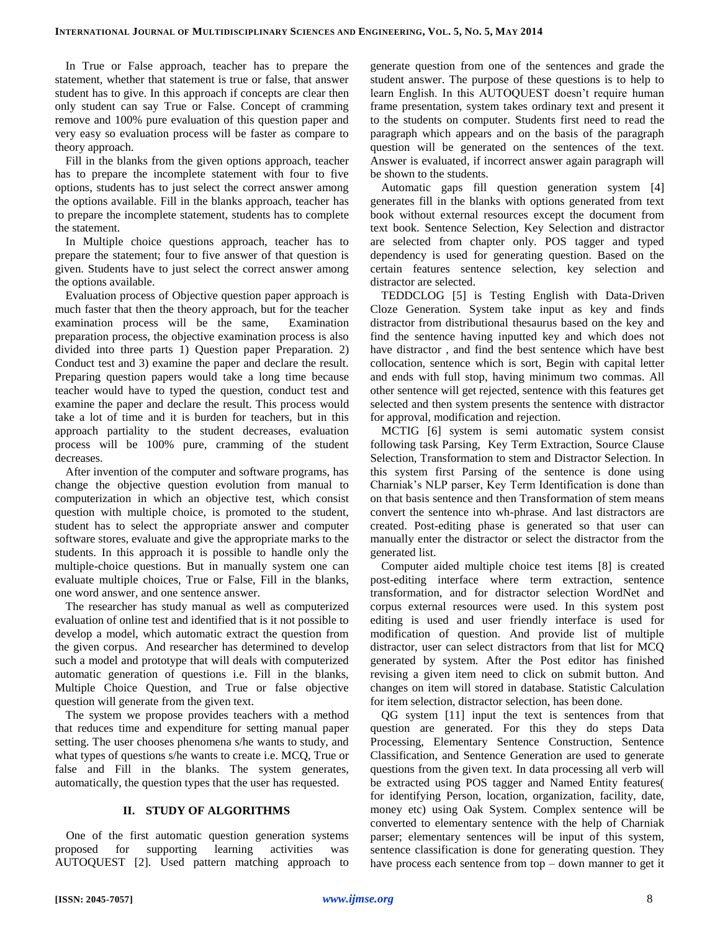In True or False approach, teacher has to prepare the statement, whether that statement is true or false, that answer student has to give. In this approach if concepts are clear then only student can say True or False. Concept of cramming remove and 100% pure evaluation of this question paper and very easy so evaluation process will be faster as compare to theory approach.

Fill in the blanks from the given options approach, teacher has to prepare the incomplete statement with four to five options, students has to just select the correct answer among the options available. Fill in the blanks approach, teacher has to prepare the incomplete statement, students has to complete the statement.

In Multiple choice questions approach, teacher has to prepare the statement; four to five answer of that question is given. Students have to just select the correct answer among the options available.

Evaluation process of Objective question paper approach is much faster that then the theory approach, but for the teacher examination process will be the same, Examination preparation process, the objective examination process is also divided into three parts 1) Question paper Preparation. 2) Conduct test and 3) examine the paper and declare the result. Preparing question papers would take a long time because teacher would have to typed the question, conduct test and examine the paper and declare the result. This process would take a lot of time and it is burden for teachers, but in this approach partiality to the student decreases, evaluation process will be 100% pure, cramming of the student decreases.

After invention of the computer and software programs, has change the objective question evolution from manual to computerization in which an objective test, which consist question with multiple choice, is promoted to the student, student has to select the appropriate answer and computer software stores, evaluate and give the appropriate marks to the students. In this approach it is possible to handle only the multiple-choice questions. But in manually system one can evaluate multiple choices, True or False, Fill in the blanks, one word answer, and one sentence answer.

The researcher has study manual as well as computerized evaluation of online test and identified that is it not possible to develop a model, which automatic extract the question from the given corpus. And researcher has determined to develop such a model and prototype that will deals with computerized automatic generation of questions i.e. Fill in the blanks, Multiple Choice Question, and True or false objective question will generate from the given text.

The system we propose provides teachers with a method that reduces time and expenditure for setting manual paper setting. The user chooses phenomena s/he wants to study, and what types of questions s/he wants to create i.e. MCQ, True or false and Fill in the blanks. The system generates, automatically, the question types that the user has requested.

## **II. STUDY OF ALGORITHMS**

One of the first automatic question generation systems proposed for supporting learning activities was AUTOQUEST [2]. Used pattern matching approach to generate question from one of the sentences and grade the student answer. The purpose of these questions is to help to learn English. In this AUTOQUEST doesn't require human frame presentation, system takes ordinary text and present it to the students on computer. Students first need to read the paragraph which appears and on the basis of the paragraph question will be generated on the sentences of the text. Answer is evaluated, if incorrect answer again paragraph will be shown to the students.

Automatic gaps fill question generation system [4] generates fill in the blanks with options generated from text book without external resources except the document from text book. Sentence Selection, Key Selection and distractor are selected from chapter only. POS tagger and typed dependency is used for generating question. Based on the certain features sentence selection, key selection and distractor are selected.

TEDDCLOG [5] is Testing English with Data-Driven Cloze Generation. System take input as key and finds distractor from distributional thesaurus based on the key and find the sentence having inputted key and which does not have distractor , and find the best sentence which have best collocation, sentence which is sort, Begin with capital letter and ends with full stop, having minimum two commas. All other sentence will get rejected, sentence with this features get selected and then system presents the sentence with distractor for approval, modification and rejection.

MCTIG [6] system is semi automatic system consist following task Parsing, Key Term Extraction, Source Clause Selection, Transformation to stem and Distractor Selection. In this system first Parsing of the sentence is done using Charniak's NLP parser, Key Term Identification is done than on that basis sentence and then Transformation of stem means convert the sentence into wh-phrase. And last distractors are created. Post-editing phase is generated so that user can manually enter the distractor or select the distractor from the generated list.

Computer aided multiple choice test items [8] is created post-editing interface where term extraction, sentence transformation, and for distractor selection WordNet and corpus external resources were used. In this system post editing is used and user friendly interface is used for modification of question. And provide list of multiple distractor, user can select distractors from that list for MCQ generated by system. After the Post editor has finished revising a given item need to click on submit button. And changes on item will stored in database. Statistic Calculation for item selection, distractor selection, has been done.

QG system [11] input the text is sentences from that question are generated. For this they do steps Data Processing, Elementary Sentence Construction, Sentence Classification, and Sentence Generation are used to generate questions from the given text. In data processing all verb will be extracted using POS tagger and Named Entity features( for identifying Person, location, organization, facility, date, money etc) using Oak System. Complex sentence will be converted to elementary sentence with the help of Charniak parser; elementary sentences will be input of this system, sentence classification is done for generating question. They have process each sentence from top – down manner to get it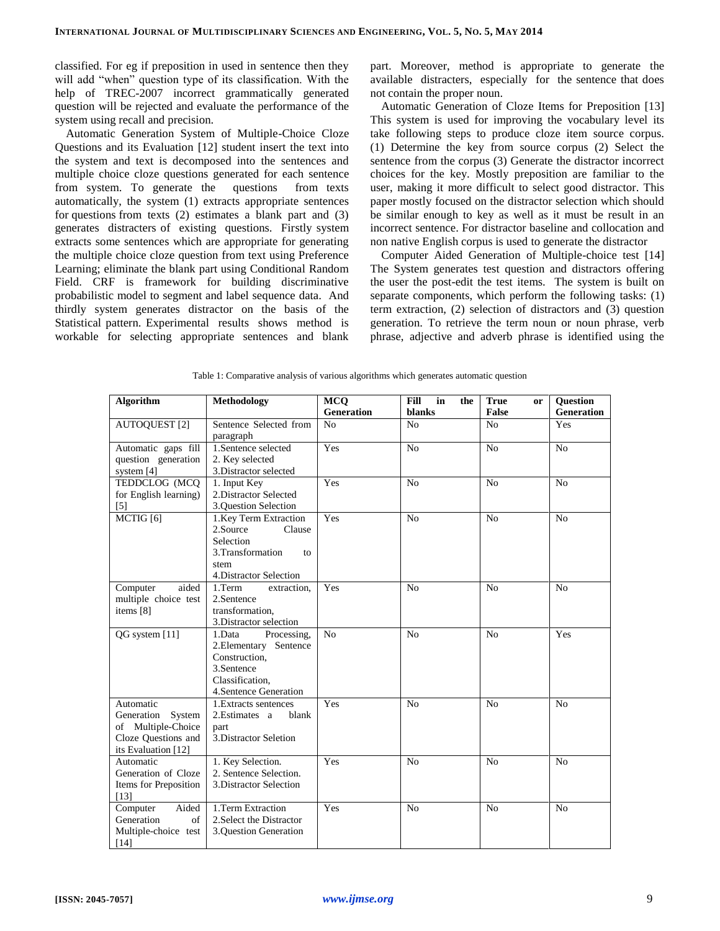classified. For eg if preposition in used in sentence then they will add "when" question type of its classification. With the help of TREC-2007 incorrect grammatically generated question will be rejected and evaluate the performance of the system using recall and precision.

Automatic Generation System of Multiple-Choice Cloze Questions and its Evaluation [12] student insert the text into the system and text is decomposed into the sentences and multiple choice cloze questions generated for each sentence from system. To generate the questions from texts automatically, the system (1) extracts appropriate sentences for questions from texts (2) estimates a blank part and (3) generates distracters of existing questions. Firstly system extracts some sentences which are appropriate for generating the multiple choice cloze question from text using Preference Learning; eliminate the blank part using Conditional Random Field. CRF is framework for building discriminative probabilistic model to segment and label sequence data. And thirdly system generates distractor on the basis of the Statistical pattern. Experimental results shows method is workable for selecting appropriate sentences and blank

part. Moreover, method is appropriate to generate the available distracters, especially for the sentence that does not contain the proper noun.

Automatic Generation of Cloze Items for Preposition [13] This system is used for improving the vocabulary level its take following steps to produce cloze item source corpus. (1) Determine the key from source corpus (2) Select the sentence from the corpus (3) Generate the distractor incorrect choices for the key. Mostly preposition are familiar to the user, making it more difficult to select good distractor. This paper mostly focused on the distractor selection which should be similar enough to key as well as it must be result in an incorrect sentence. For distractor baseline and collocation and non native English corpus is used to generate the distractor

Computer Aided Generation of Multiple-choice test [14] The System generates test question and distractors offering the user the post-edit the test items. The system is built on separate components, which perform the following tasks: (1) term extraction, (2) selection of distractors and (3) question generation. To retrieve the term noun or noun phrase, verb phrase, adjective and adverb phrase is identified using the

| Algorithm                        | Methodology                                 | <b>MCQ</b>                   | <b>Fill</b><br>in<br>the | <b>True</b><br>or<br><b>False</b> | Question                 |
|----------------------------------|---------------------------------------------|------------------------------|--------------------------|-----------------------------------|--------------------------|
|                                  | Sentence Selected from                      | Generation<br>N <sub>o</sub> | blanks<br>N <sub>o</sub> | N <sub>0</sub>                    | <b>Generation</b><br>Yes |
| <b>AUTOQUEST</b> [2]             | paragraph                                   |                              |                          |                                   |                          |
| Automatic gaps fill              | 1.Sentence selected                         | Yes                          | N <sub>o</sub>           | N <sub>o</sub>                    | N <sub>o</sub>           |
| question generation              | 2. Key selected                             |                              |                          |                                   |                          |
| system [4]                       | 3. Distractor selected                      |                              |                          |                                   |                          |
| TEDDCLOG (MCQ                    | 1. Input Key                                | Yes                          | N <sub>o</sub>           | N <sub>o</sub>                    | N <sub>o</sub>           |
| for English learning)            | 2. Distractor Selected                      |                              |                          |                                   |                          |
| $[5]$                            | 3. Ouestion Selection                       |                              |                          |                                   |                          |
| MCTIG <sup>[6]</sup>             | 1. Key Term Extraction                      | Yes                          | N <sub>o</sub>           | N <sub>0</sub>                    | N <sub>o</sub>           |
|                                  | 2.Source<br>Clause                          |                              |                          |                                   |                          |
|                                  | Selection                                   |                              |                          |                                   |                          |
|                                  | 3. Transformation<br>to                     |                              |                          |                                   |                          |
|                                  | stem                                        |                              |                          |                                   |                          |
|                                  | 4. Distractor Selection                     |                              |                          |                                   |                          |
| aided<br>Computer                | 1.Term<br>extraction,                       | Yes                          | N <sub>0</sub>           | N <sub>0</sub>                    | No                       |
| multiple choice test             | 2.Sentence                                  |                              |                          |                                   |                          |
| items [8]                        | transformation.                             |                              |                          |                                   |                          |
|                                  | 3. Distractor selection                     |                              |                          |                                   |                          |
| QG system [11]                   | 1.Data<br>Processing,                       | N <sub>o</sub>               | N <sub>0</sub>           | N <sub>o</sub>                    | Yes                      |
|                                  | 2. Elementary Sentence                      |                              |                          |                                   |                          |
|                                  | Construction.                               |                              |                          |                                   |                          |
|                                  | 3.Sentence                                  |                              |                          |                                   |                          |
|                                  | Classification.                             |                              |                          |                                   |                          |
|                                  | 4. Sentence Generation                      |                              |                          |                                   |                          |
| Automatic                        | 1. Extracts sentences                       | Yes                          | No                       | No                                | No                       |
| Generation<br>System             | 2. Estimates a<br>blank                     |                              |                          |                                   |                          |
| of Multiple-Choice               | part                                        |                              |                          |                                   |                          |
| Cloze Questions and              | 3. Distractor Seletion                      |                              |                          |                                   |                          |
| its Evaluation [12]              |                                             |                              |                          |                                   |                          |
| Automatic<br>Generation of Cloze | 1. Key Selection.<br>2. Sentence Selection. | Yes                          | N <sub>o</sub>           | N <sub>o</sub>                    | N <sub>o</sub>           |
| Items for Preposition            | 3. Distractor Selection                     |                              |                          |                                   |                          |
| $[13]$                           |                                             |                              |                          |                                   |                          |
| Aided<br>Computer                | 1.Term Extraction                           | Yes                          | No                       | No                                | No                       |
| Generation<br>of                 | 2. Select the Distractor                    |                              |                          |                                   |                          |
| Multiple-choice test             | 3.Question Generation                       |                              |                          |                                   |                          |
|                                  |                                             |                              |                          |                                   |                          |
| $[14]$                           |                                             |                              |                          |                                   |                          |

Table 1: Comparative analysis of various algorithms which generates automatic question